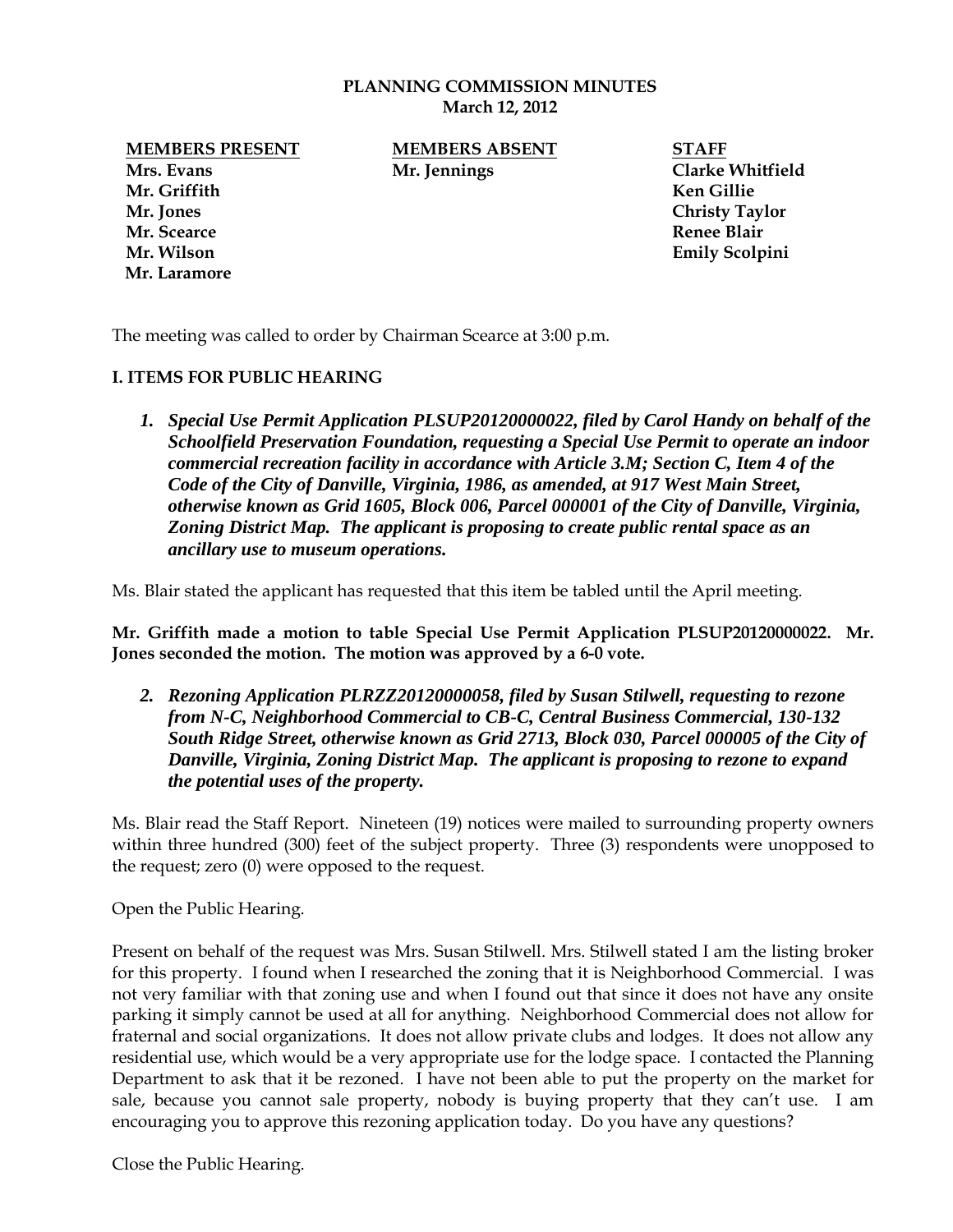#### **PLANNING COMMISSION MINUTES March 12, 2012**

**Mrs. Evans Mr. Jennings Clarke Whitfield Mr. Griffith Ken Gillie Mr. Jones Christy Taylor Mr. Scearce Renee Blair Mr. Wilson Emily Scolpini Mr. Laramore**

**MEMBERS PRESENT MEMBERS ABSENT STAFF**

The meeting was called to order by Chairman Scearce at 3:00 p.m.

### **I. ITEMS FOR PUBLIC HEARING**

*1. Special Use Permit Application PLSUP20120000022, filed by Carol Handy on behalf of the Schoolfield Preservation Foundation, requesting a Special Use Permit to operate an indoor commercial recreation facility in accordance with Article 3.M; Section C, Item 4 of the Code of the City of Danville, Virginia, 1986, as amended, at 917 West Main Street, otherwise known as Grid 1605, Block 006, Parcel 000001 of the City of Danville, Virginia, Zoning District Map. The applicant is proposing to create public rental space as an ancillary use to museum operations.* 

Ms. Blair stated the applicant has requested that this item be tabled until the April meeting.

**Mr. Griffith made a motion to table Special Use Permit Application PLSUP20120000022. Mr. Jones seconded the motion. The motion was approved by a 6-0 vote.** 

*2. Rezoning Application PLRZZ20120000058, filed by Susan Stilwell, requesting to rezone from N-C, Neighborhood Commercial to CB-C, Central Business Commercial, 130-132 South Ridge Street, otherwise known as Grid 2713, Block 030, Parcel 000005 of the City of Danville, Virginia, Zoning District Map. The applicant is proposing to rezone to expand the potential uses of the property.* 

Ms. Blair read the Staff Report. Nineteen (19) notices were mailed to surrounding property owners within three hundred (300) feet of the subject property. Three (3) respondents were unopposed to the request; zero (0) were opposed to the request.

Open the Public Hearing.

Present on behalf of the request was Mrs. Susan Stilwell. Mrs. Stilwell stated I am the listing broker for this property. I found when I researched the zoning that it is Neighborhood Commercial. I was not very familiar with that zoning use and when I found out that since it does not have any onsite parking it simply cannot be used at all for anything. Neighborhood Commercial does not allow for fraternal and social organizations. It does not allow private clubs and lodges. It does not allow any residential use, which would be a very appropriate use for the lodge space. I contacted the Planning Department to ask that it be rezoned. I have not been able to put the property on the market for sale, because you cannot sale property, nobody is buying property that they can't use. I am encouraging you to approve this rezoning application today. Do you have any questions?

Close the Public Hearing.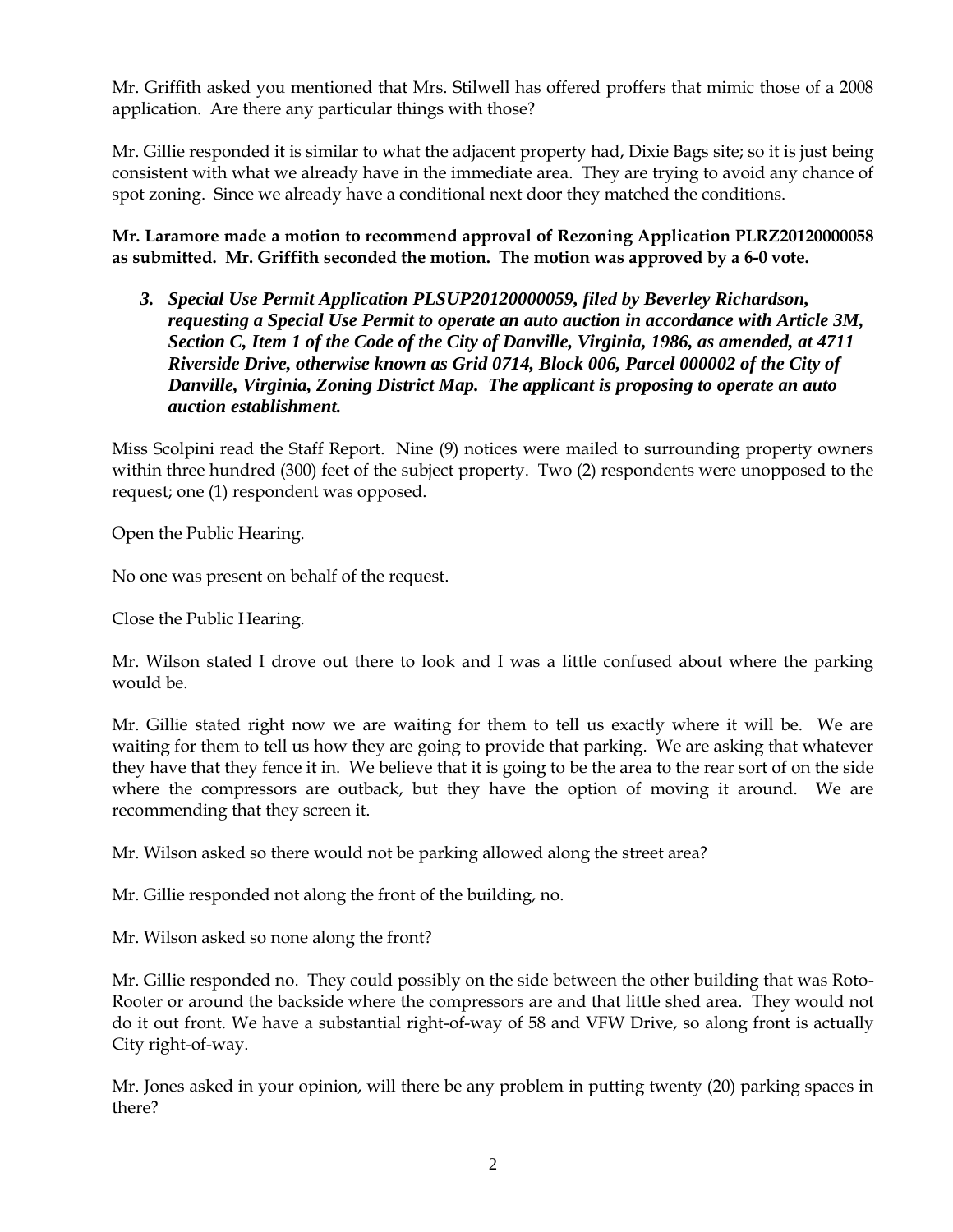Mr. Griffith asked you mentioned that Mrs. Stilwell has offered proffers that mimic those of a 2008 application. Are there any particular things with those?

Mr. Gillie responded it is similar to what the adjacent property had, Dixie Bags site; so it is just being consistent with what we already have in the immediate area. They are trying to avoid any chance of spot zoning. Since we already have a conditional next door they matched the conditions.

**Mr. Laramore made a motion to recommend approval of Rezoning Application PLRZ20120000058 as submitted. Mr. Griffith seconded the motion. The motion was approved by a 6-0 vote.** 

*3. Special Use Permit Application PLSUP20120000059, filed by Beverley Richardson, requesting a Special Use Permit to operate an auto auction in accordance with Article 3M, Section C, Item 1 of the Code of the City of Danville, Virginia, 1986, as amended, at 4711 Riverside Drive, otherwise known as Grid 0714, Block 006, Parcel 000002 of the City of Danville, Virginia, Zoning District Map. The applicant is proposing to operate an auto auction establishment.* 

Miss Scolpini read the Staff Report. Nine (9) notices were mailed to surrounding property owners within three hundred (300) feet of the subject property. Two (2) respondents were unopposed to the request; one (1) respondent was opposed.

Open the Public Hearing.

No one was present on behalf of the request.

Close the Public Hearing.

Mr. Wilson stated I drove out there to look and I was a little confused about where the parking would be.

Mr. Gillie stated right now we are waiting for them to tell us exactly where it will be. We are waiting for them to tell us how they are going to provide that parking. We are asking that whatever they have that they fence it in. We believe that it is going to be the area to the rear sort of on the side where the compressors are outback, but they have the option of moving it around. We are recommending that they screen it.

Mr. Wilson asked so there would not be parking allowed along the street area?

Mr. Gillie responded not along the front of the building, no.

Mr. Wilson asked so none along the front?

Mr. Gillie responded no. They could possibly on the side between the other building that was Roto-Rooter or around the backside where the compressors are and that little shed area. They would not do it out front. We have a substantial right-of-way of 58 and VFW Drive, so along front is actually City right-of-way.

Mr. Jones asked in your opinion, will there be any problem in putting twenty (20) parking spaces in there?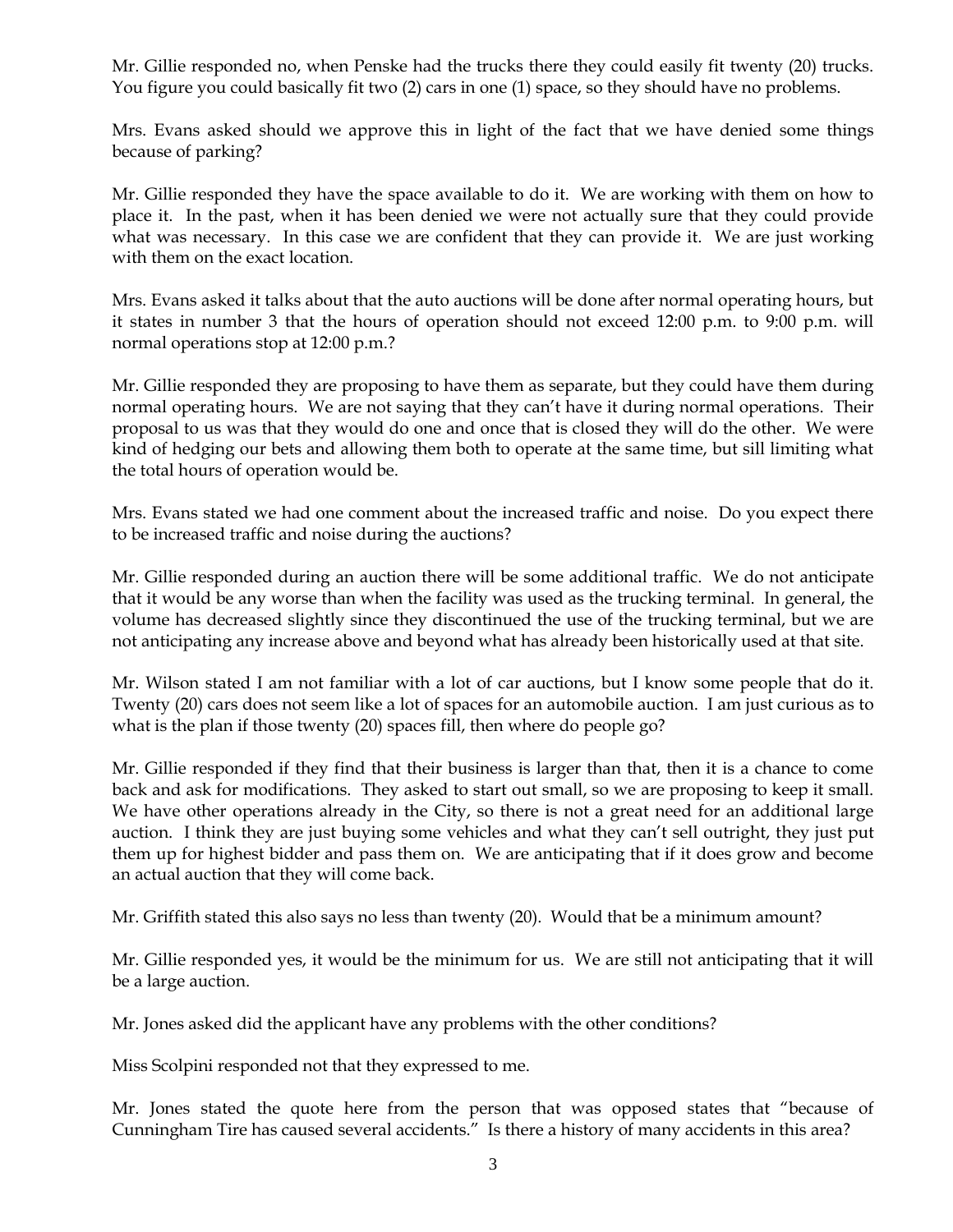Mr. Gillie responded no, when Penske had the trucks there they could easily fit twenty (20) trucks. You figure you could basically fit two (2) cars in one (1) space, so they should have no problems.

Mrs. Evans asked should we approve this in light of the fact that we have denied some things because of parking?

Mr. Gillie responded they have the space available to do it. We are working with them on how to place it. In the past, when it has been denied we were not actually sure that they could provide what was necessary. In this case we are confident that they can provide it. We are just working with them on the exact location.

Mrs. Evans asked it talks about that the auto auctions will be done after normal operating hours, but it states in number 3 that the hours of operation should not exceed 12:00 p.m. to 9:00 p.m. will normal operations stop at 12:00 p.m.?

Mr. Gillie responded they are proposing to have them as separate, but they could have them during normal operating hours. We are not saying that they can't have it during normal operations. Their proposal to us was that they would do one and once that is closed they will do the other. We were kind of hedging our bets and allowing them both to operate at the same time, but sill limiting what the total hours of operation would be.

Mrs. Evans stated we had one comment about the increased traffic and noise. Do you expect there to be increased traffic and noise during the auctions?

Mr. Gillie responded during an auction there will be some additional traffic. We do not anticipate that it would be any worse than when the facility was used as the trucking terminal. In general, the volume has decreased slightly since they discontinued the use of the trucking terminal, but we are not anticipating any increase above and beyond what has already been historically used at that site.

Mr. Wilson stated I am not familiar with a lot of car auctions, but I know some people that do it. Twenty (20) cars does not seem like a lot of spaces for an automobile auction. I am just curious as to what is the plan if those twenty (20) spaces fill, then where do people go?

Mr. Gillie responded if they find that their business is larger than that, then it is a chance to come back and ask for modifications. They asked to start out small, so we are proposing to keep it small. We have other operations already in the City, so there is not a great need for an additional large auction. I think they are just buying some vehicles and what they can't sell outright, they just put them up for highest bidder and pass them on. We are anticipating that if it does grow and become an actual auction that they will come back.

Mr. Griffith stated this also says no less than twenty (20). Would that be a minimum amount?

Mr. Gillie responded yes, it would be the minimum for us. We are still not anticipating that it will be a large auction.

Mr. Jones asked did the applicant have any problems with the other conditions?

Miss Scolpini responded not that they expressed to me.

Mr. Jones stated the quote here from the person that was opposed states that "because of Cunningham Tire has caused several accidents." Is there a history of many accidents in this area?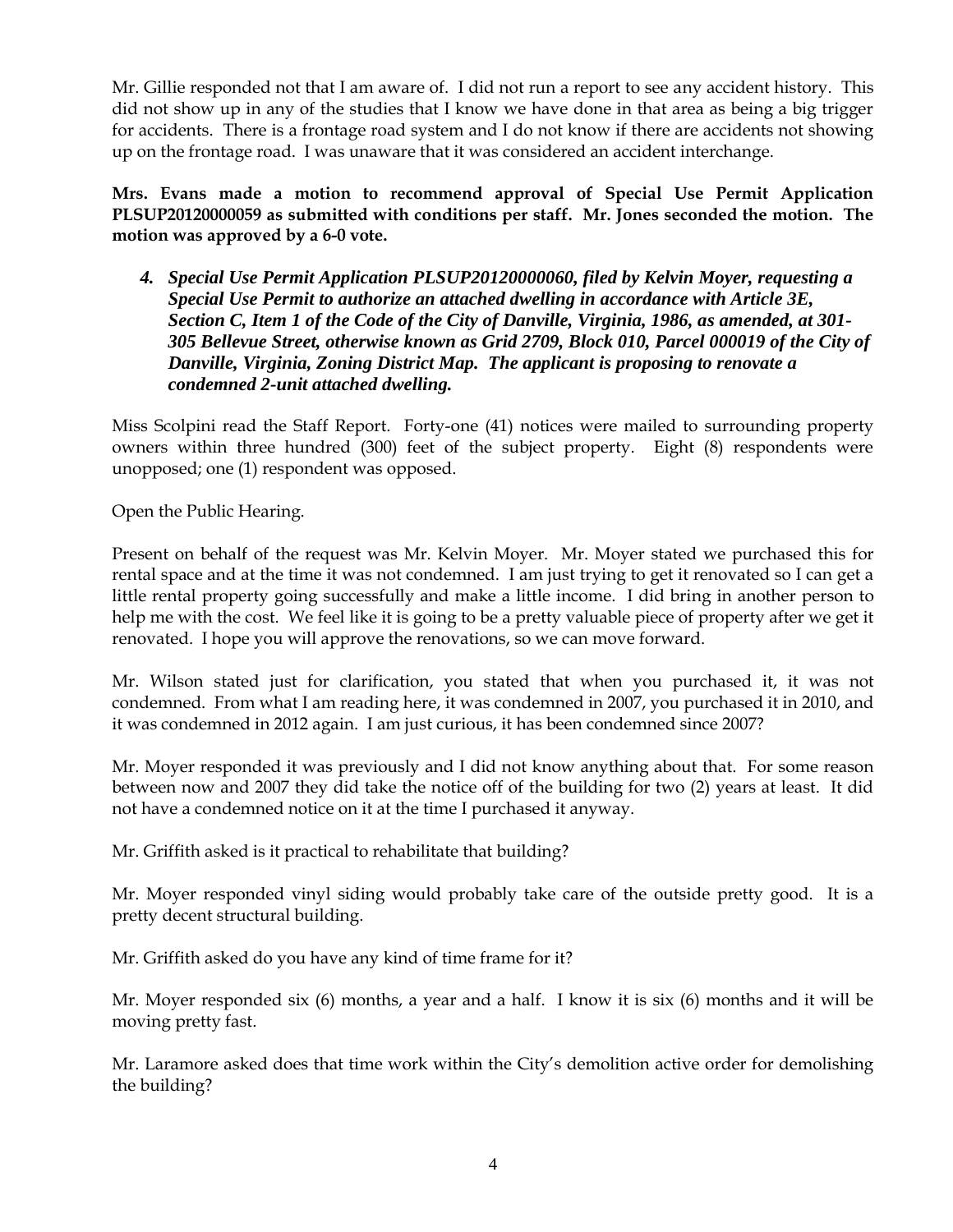Mr. Gillie responded not that I am aware of. I did not run a report to see any accident history. This did not show up in any of the studies that I know we have done in that area as being a big trigger for accidents. There is a frontage road system and I do not know if there are accidents not showing up on the frontage road. I was unaware that it was considered an accident interchange.

**Mrs. Evans made a motion to recommend approval of Special Use Permit Application PLSUP20120000059 as submitted with conditions per staff. Mr. Jones seconded the motion. The motion was approved by a 6-0 vote.**

*4. Special Use Permit Application PLSUP20120000060, filed by Kelvin Moyer, requesting a Special Use Permit to authorize an attached dwelling in accordance with Article 3E, Section C, Item 1 of the Code of the City of Danville, Virginia, 1986, as amended, at 301- 305 Bellevue Street, otherwise known as Grid 2709, Block 010, Parcel 000019 of the City of Danville, Virginia, Zoning District Map. The applicant is proposing to renovate a condemned 2-unit attached dwelling.* 

Miss Scolpini read the Staff Report. Forty-one (41) notices were mailed to surrounding property owners within three hundred (300) feet of the subject property. Eight (8) respondents were unopposed; one (1) respondent was opposed.

Open the Public Hearing.

Present on behalf of the request was Mr. Kelvin Moyer. Mr. Moyer stated we purchased this for rental space and at the time it was not condemned. I am just trying to get it renovated so I can get a little rental property going successfully and make a little income. I did bring in another person to help me with the cost. We feel like it is going to be a pretty valuable piece of property after we get it renovated. I hope you will approve the renovations, so we can move forward.

Mr. Wilson stated just for clarification, you stated that when you purchased it, it was not condemned. From what I am reading here, it was condemned in 2007, you purchased it in 2010, and it was condemned in 2012 again. I am just curious, it has been condemned since 2007?

Mr. Moyer responded it was previously and I did not know anything about that. For some reason between now and 2007 they did take the notice off of the building for two (2) years at least. It did not have a condemned notice on it at the time I purchased it anyway.

Mr. Griffith asked is it practical to rehabilitate that building?

Mr. Moyer responded vinyl siding would probably take care of the outside pretty good. It is a pretty decent structural building.

Mr. Griffith asked do you have any kind of time frame for it?

Mr. Moyer responded six (6) months, a year and a half. I know it is six (6) months and it will be moving pretty fast.

Mr. Laramore asked does that time work within the City's demolition active order for demolishing the building?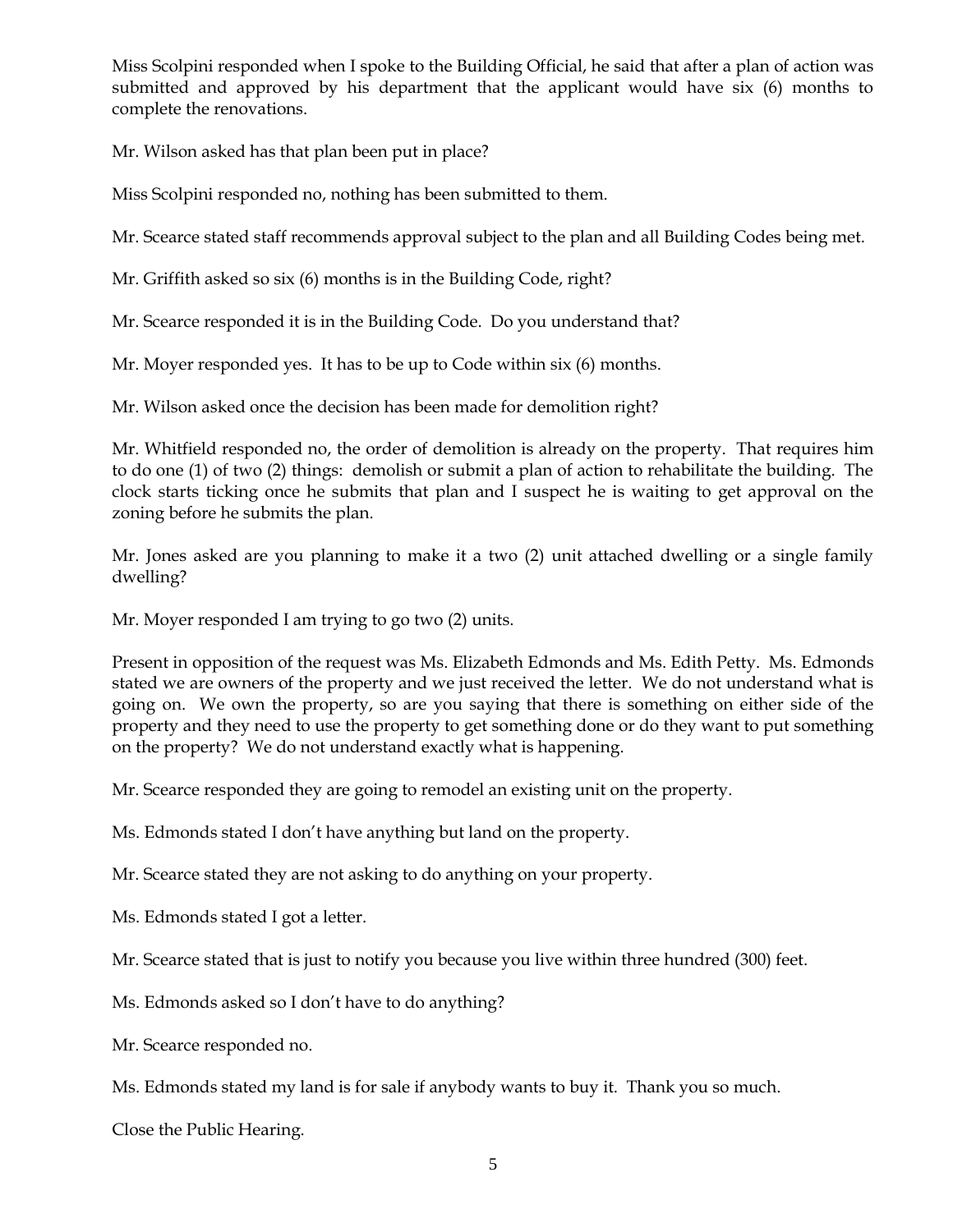Miss Scolpini responded when I spoke to the Building Official, he said that after a plan of action was submitted and approved by his department that the applicant would have six (6) months to complete the renovations.

Mr. Wilson asked has that plan been put in place?

Miss Scolpini responded no, nothing has been submitted to them.

Mr. Scearce stated staff recommends approval subject to the plan and all Building Codes being met.

Mr. Griffith asked so six (6) months is in the Building Code, right?

Mr. Scearce responded it is in the Building Code. Do you understand that?

Mr. Moyer responded yes. It has to be up to Code within six (6) months.

Mr. Wilson asked once the decision has been made for demolition right?

Mr. Whitfield responded no, the order of demolition is already on the property. That requires him to do one (1) of two (2) things: demolish or submit a plan of action to rehabilitate the building. The clock starts ticking once he submits that plan and I suspect he is waiting to get approval on the zoning before he submits the plan.

Mr. Jones asked are you planning to make it a two (2) unit attached dwelling or a single family dwelling?

Mr. Moyer responded I am trying to go two (2) units.

Present in opposition of the request was Ms. Elizabeth Edmonds and Ms. Edith Petty. Ms. Edmonds stated we are owners of the property and we just received the letter. We do not understand what is going on. We own the property, so are you saying that there is something on either side of the property and they need to use the property to get something done or do they want to put something on the property? We do not understand exactly what is happening.

Mr. Scearce responded they are going to remodel an existing unit on the property.

Ms. Edmonds stated I don't have anything but land on the property.

Mr. Scearce stated they are not asking to do anything on your property.

Ms. Edmonds stated I got a letter.

Mr. Scearce stated that is just to notify you because you live within three hundred (300) feet.

Ms. Edmonds asked so I don't have to do anything?

Mr. Scearce responded no.

Ms. Edmonds stated my land is for sale if anybody wants to buy it. Thank you so much.

Close the Public Hearing.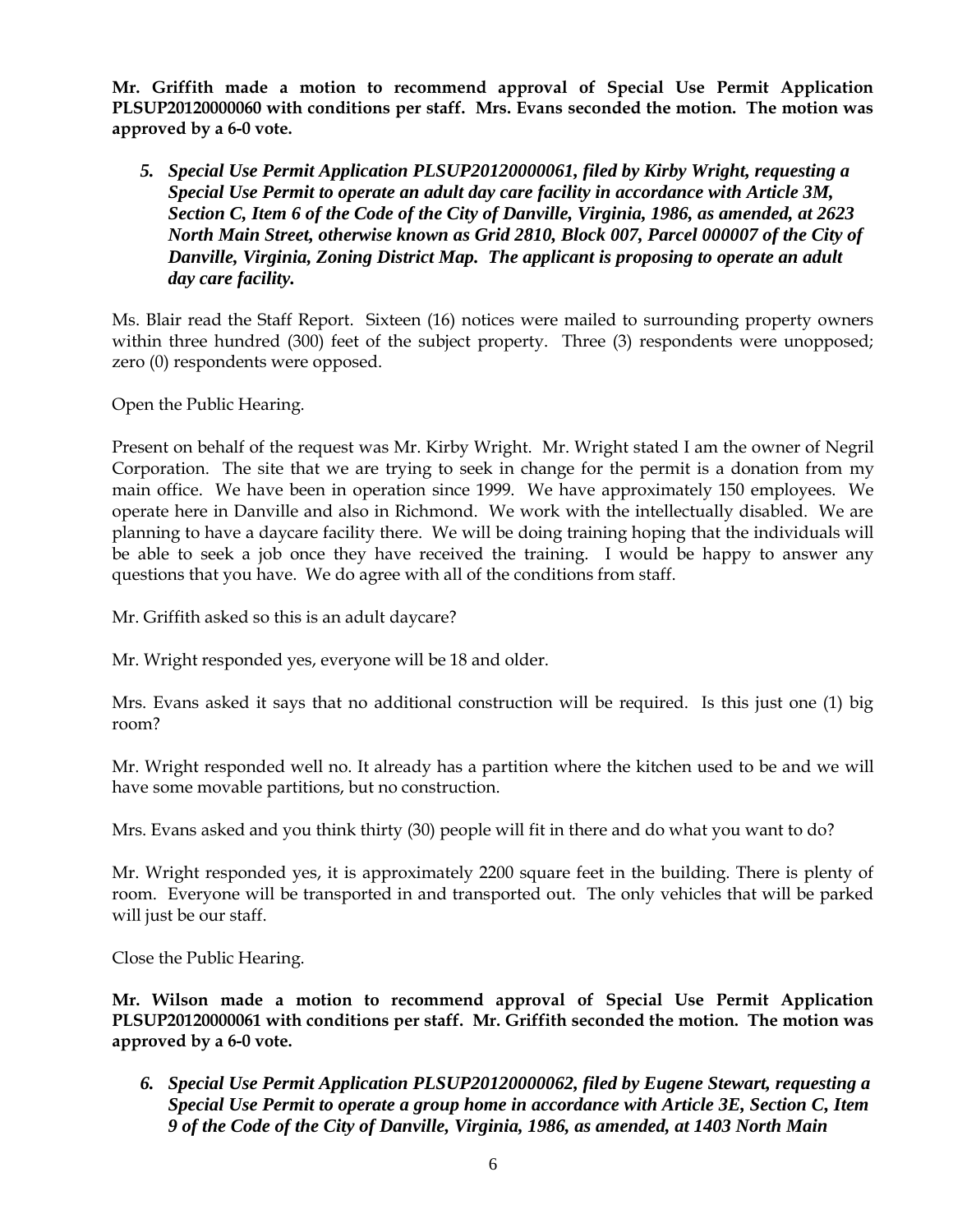**Mr. Griffith made a motion to recommend approval of Special Use Permit Application PLSUP20120000060 with conditions per staff. Mrs. Evans seconded the motion. The motion was approved by a 6-0 vote.**

*5. Special Use Permit Application PLSUP20120000061, filed by Kirby Wright, requesting a Special Use Permit to operate an adult day care facility in accordance with Article 3M, Section C, Item 6 of the Code of the City of Danville, Virginia, 1986, as amended, at 2623 North Main Street, otherwise known as Grid 2810, Block 007, Parcel 000007 of the City of Danville, Virginia, Zoning District Map. The applicant is proposing to operate an adult day care facility.*

Ms. Blair read the Staff Report. Sixteen (16) notices were mailed to surrounding property owners within three hundred (300) feet of the subject property. Three (3) respondents were unopposed; zero (0) respondents were opposed.

Open the Public Hearing.

Present on behalf of the request was Mr. Kirby Wright. Mr. Wright stated I am the owner of Negril Corporation. The site that we are trying to seek in change for the permit is a donation from my main office. We have been in operation since 1999. We have approximately 150 employees. We operate here in Danville and also in Richmond. We work with the intellectually disabled. We are planning to have a daycare facility there. We will be doing training hoping that the individuals will be able to seek a job once they have received the training. I would be happy to answer any questions that you have. We do agree with all of the conditions from staff.

Mr. Griffith asked so this is an adult daycare?

Mr. Wright responded yes, everyone will be 18 and older.

Mrs. Evans asked it says that no additional construction will be required. Is this just one (1) big room?

Mr. Wright responded well no. It already has a partition where the kitchen used to be and we will have some movable partitions, but no construction.

Mrs. Evans asked and you think thirty (30) people will fit in there and do what you want to do?

Mr. Wright responded yes, it is approximately 2200 square feet in the building. There is plenty of room. Everyone will be transported in and transported out. The only vehicles that will be parked will just be our staff.

Close the Public Hearing.

**Mr. Wilson made a motion to recommend approval of Special Use Permit Application PLSUP20120000061 with conditions per staff. Mr. Griffith seconded the motion. The motion was approved by a 6-0 vote.**

*6. Special Use Permit Application PLSUP20120000062, filed by Eugene Stewart, requesting a Special Use Permit to operate a group home in accordance with Article 3E, Section C, Item 9 of the Code of the City of Danville, Virginia, 1986, as amended, at 1403 North Main*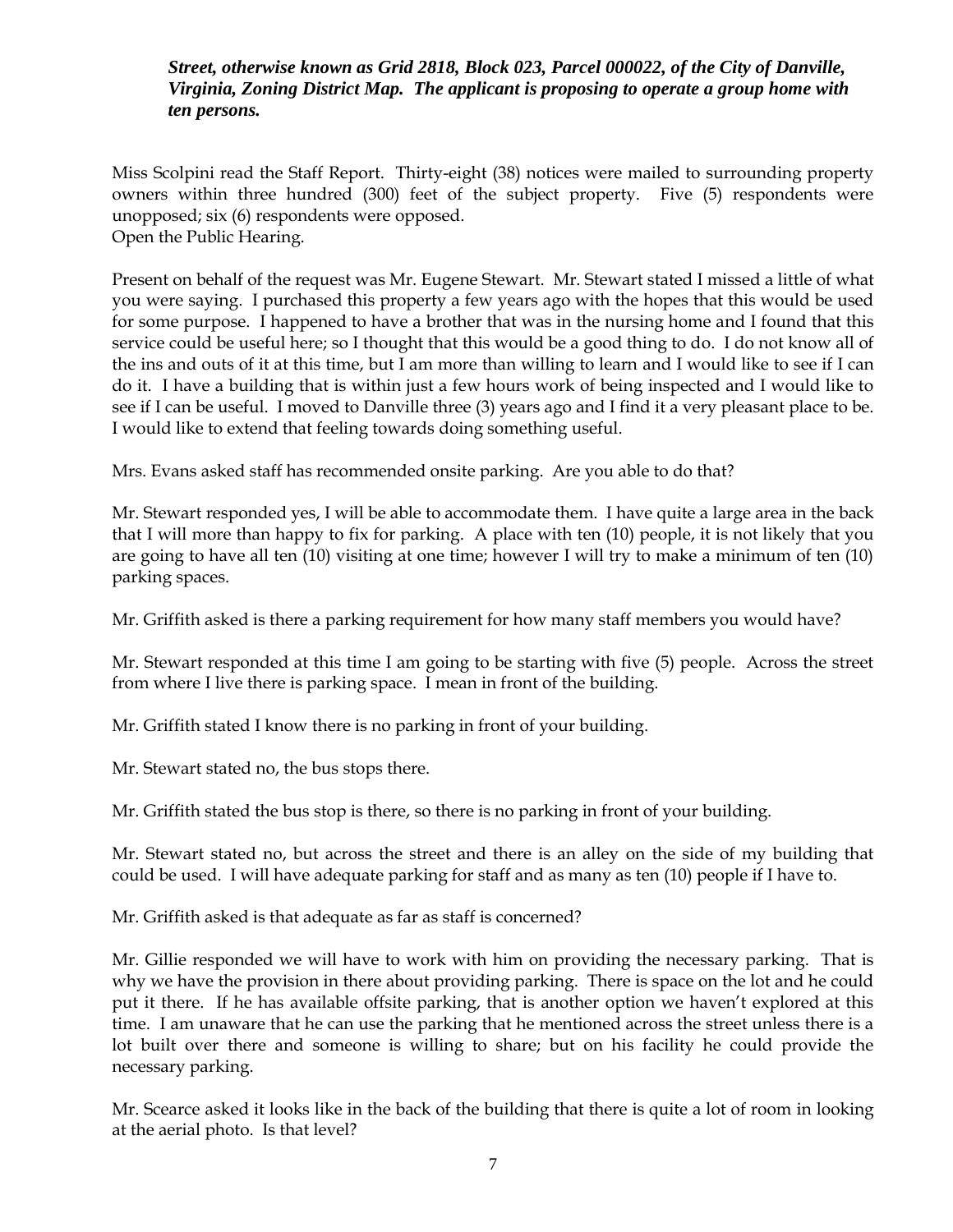# *Street, otherwise known as Grid 2818, Block 023, Parcel 000022, of the City of Danville, Virginia, Zoning District Map. The applicant is proposing to operate a group home with ten persons.*

Miss Scolpini read the Staff Report. Thirty-eight (38) notices were mailed to surrounding property owners within three hundred (300) feet of the subject property. Five (5) respondents were unopposed; six (6) respondents were opposed. Open the Public Hearing.

Present on behalf of the request was Mr. Eugene Stewart. Mr. Stewart stated I missed a little of what you were saying. I purchased this property a few years ago with the hopes that this would be used for some purpose. I happened to have a brother that was in the nursing home and I found that this service could be useful here; so I thought that this would be a good thing to do. I do not know all of the ins and outs of it at this time, but I am more than willing to learn and I would like to see if I can do it. I have a building that is within just a few hours work of being inspected and I would like to see if I can be useful. I moved to Danville three (3) years ago and I find it a very pleasant place to be. I would like to extend that feeling towards doing something useful.

Mrs. Evans asked staff has recommended onsite parking. Are you able to do that?

Mr. Stewart responded yes, I will be able to accommodate them. I have quite a large area in the back that I will more than happy to fix for parking. A place with ten (10) people, it is not likely that you are going to have all ten (10) visiting at one time; however I will try to make a minimum of ten (10) parking spaces.

Mr. Griffith asked is there a parking requirement for how many staff members you would have?

Mr. Stewart responded at this time I am going to be starting with five (5) people. Across the street from where I live there is parking space. I mean in front of the building.

Mr. Griffith stated I know there is no parking in front of your building.

Mr. Stewart stated no, the bus stops there.

Mr. Griffith stated the bus stop is there, so there is no parking in front of your building.

Mr. Stewart stated no, but across the street and there is an alley on the side of my building that could be used. I will have adequate parking for staff and as many as ten (10) people if I have to.

Mr. Griffith asked is that adequate as far as staff is concerned?

Mr. Gillie responded we will have to work with him on providing the necessary parking. That is why we have the provision in there about providing parking. There is space on the lot and he could put it there. If he has available offsite parking, that is another option we haven't explored at this time. I am unaware that he can use the parking that he mentioned across the street unless there is a lot built over there and someone is willing to share; but on his facility he could provide the necessary parking.

Mr. Scearce asked it looks like in the back of the building that there is quite a lot of room in looking at the aerial photo. Is that level?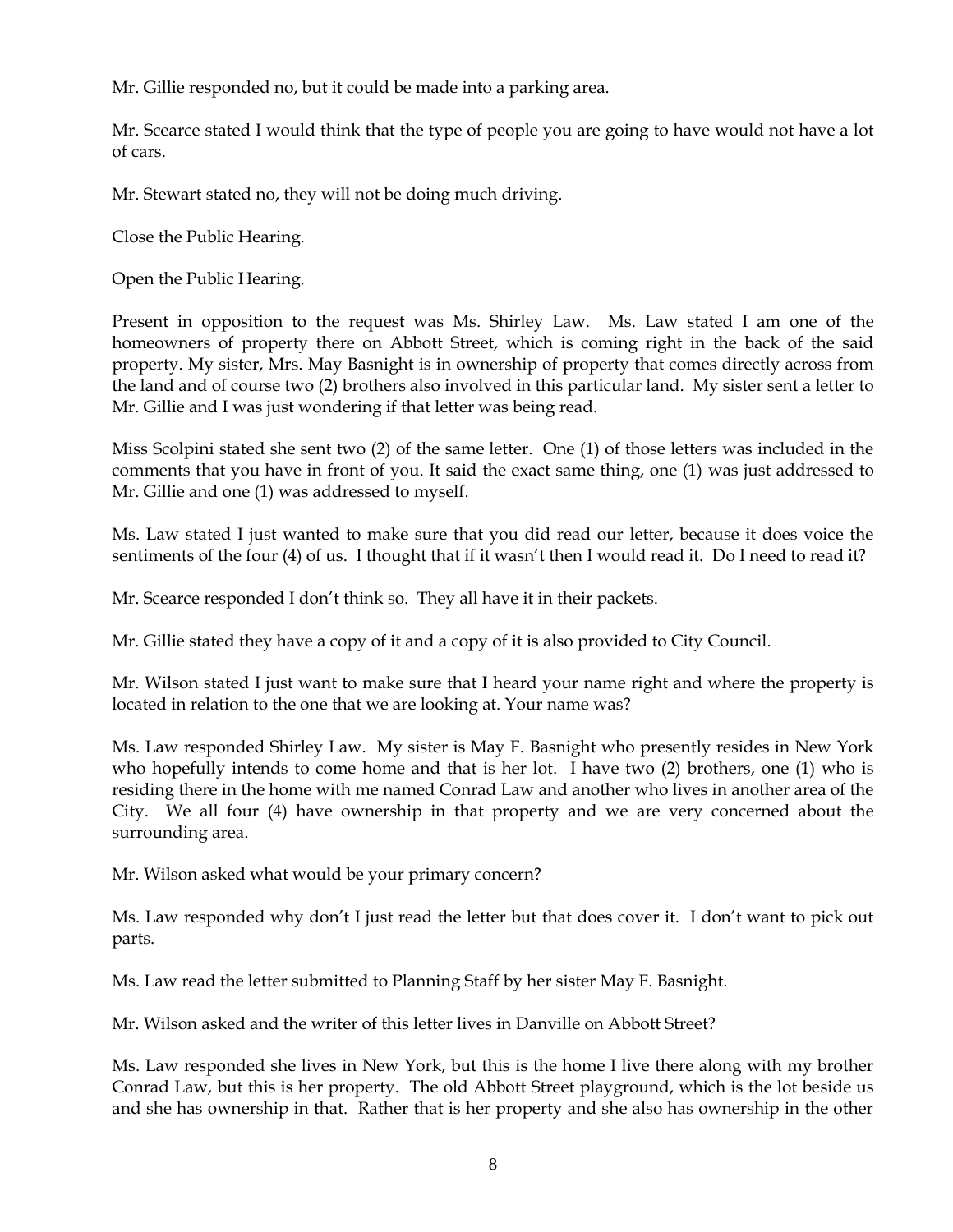Mr. Gillie responded no, but it could be made into a parking area.

Mr. Scearce stated I would think that the type of people you are going to have would not have a lot of cars.

Mr. Stewart stated no, they will not be doing much driving.

Close the Public Hearing.

Open the Public Hearing.

Present in opposition to the request was Ms. Shirley Law. Ms. Law stated I am one of the homeowners of property there on Abbott Street, which is coming right in the back of the said property. My sister, Mrs. May Basnight is in ownership of property that comes directly across from the land and of course two (2) brothers also involved in this particular land. My sister sent a letter to Mr. Gillie and I was just wondering if that letter was being read.

Miss Scolpini stated she sent two (2) of the same letter. One (1) of those letters was included in the comments that you have in front of you. It said the exact same thing, one (1) was just addressed to Mr. Gillie and one (1) was addressed to myself.

Ms. Law stated I just wanted to make sure that you did read our letter, because it does voice the sentiments of the four (4) of us. I thought that if it wasn't then I would read it. Do I need to read it?

Mr. Scearce responded I don't think so. They all have it in their packets.

Mr. Gillie stated they have a copy of it and a copy of it is also provided to City Council.

Mr. Wilson stated I just want to make sure that I heard your name right and where the property is located in relation to the one that we are looking at. Your name was?

Ms. Law responded Shirley Law. My sister is May F. Basnight who presently resides in New York who hopefully intends to come home and that is her lot. I have two (2) brothers, one (1) who is residing there in the home with me named Conrad Law and another who lives in another area of the City. We all four (4) have ownership in that property and we are very concerned about the surrounding area.

Mr. Wilson asked what would be your primary concern?

Ms. Law responded why don't I just read the letter but that does cover it. I don't want to pick out parts.

Ms. Law read the letter submitted to Planning Staff by her sister May F. Basnight.

Mr. Wilson asked and the writer of this letter lives in Danville on Abbott Street?

Ms. Law responded she lives in New York, but this is the home I live there along with my brother Conrad Law, but this is her property. The old Abbott Street playground, which is the lot beside us and she has ownership in that. Rather that is her property and she also has ownership in the other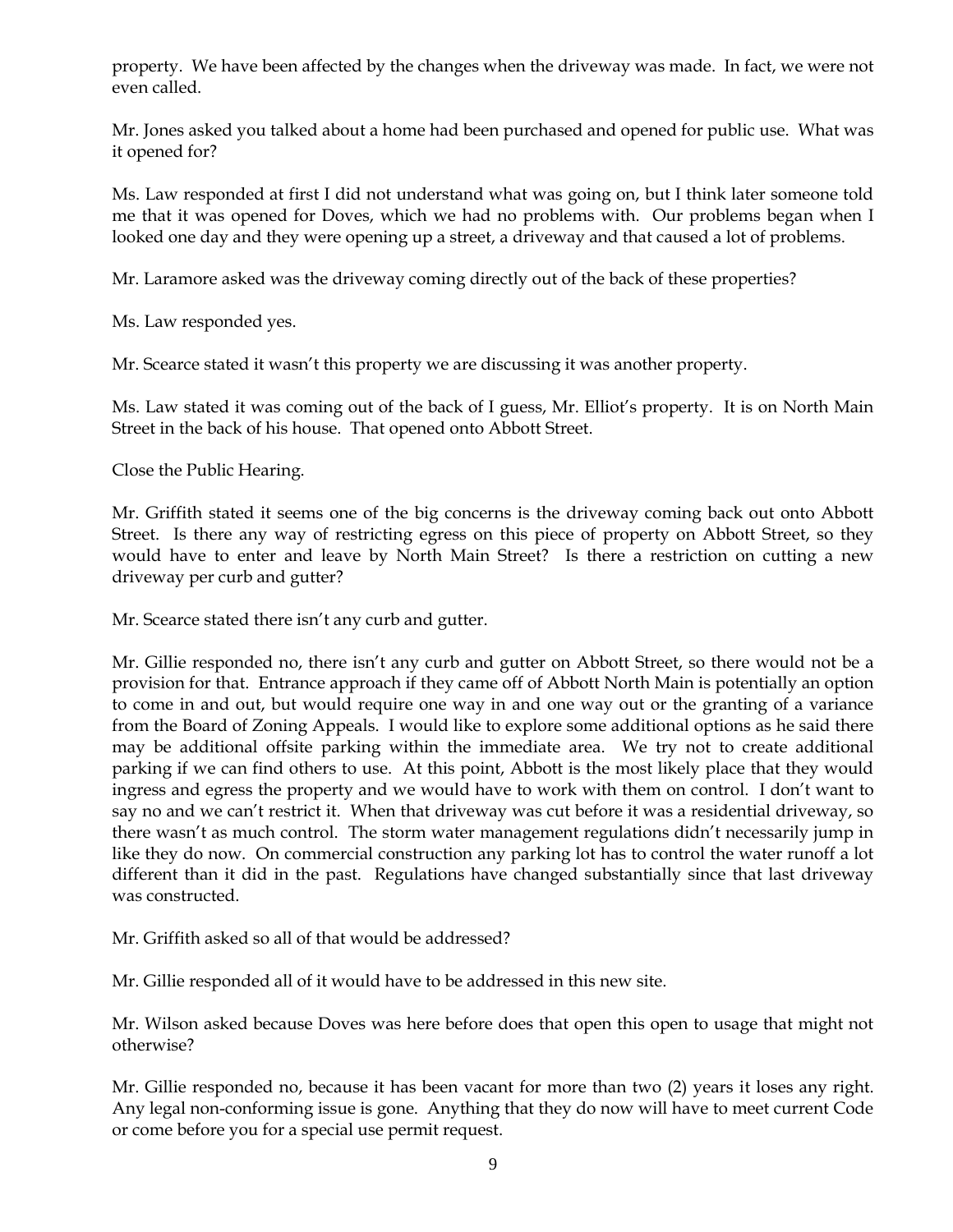property. We have been affected by the changes when the driveway was made. In fact, we were not even called.

Mr. Jones asked you talked about a home had been purchased and opened for public use. What was it opened for?

Ms. Law responded at first I did not understand what was going on, but I think later someone told me that it was opened for Doves, which we had no problems with. Our problems began when I looked one day and they were opening up a street, a driveway and that caused a lot of problems.

Mr. Laramore asked was the driveway coming directly out of the back of these properties?

Ms. Law responded yes.

Mr. Scearce stated it wasn't this property we are discussing it was another property.

Ms. Law stated it was coming out of the back of I guess, Mr. Elliot's property. It is on North Main Street in the back of his house. That opened onto Abbott Street.

Close the Public Hearing.

Mr. Griffith stated it seems one of the big concerns is the driveway coming back out onto Abbott Street. Is there any way of restricting egress on this piece of property on Abbott Street, so they would have to enter and leave by North Main Street? Is there a restriction on cutting a new driveway per curb and gutter?

Mr. Scearce stated there isn't any curb and gutter.

Mr. Gillie responded no, there isn't any curb and gutter on Abbott Street, so there would not be a provision for that. Entrance approach if they came off of Abbott North Main is potentially an option to come in and out, but would require one way in and one way out or the granting of a variance from the Board of Zoning Appeals. I would like to explore some additional options as he said there may be additional offsite parking within the immediate area. We try not to create additional parking if we can find others to use. At this point, Abbott is the most likely place that they would ingress and egress the property and we would have to work with them on control. I don't want to say no and we can't restrict it. When that driveway was cut before it was a residential driveway, so there wasn't as much control. The storm water management regulations didn't necessarily jump in like they do now. On commercial construction any parking lot has to control the water runoff a lot different than it did in the past. Regulations have changed substantially since that last driveway was constructed.

Mr. Griffith asked so all of that would be addressed?

Mr. Gillie responded all of it would have to be addressed in this new site.

Mr. Wilson asked because Doves was here before does that open this open to usage that might not otherwise?

Mr. Gillie responded no, because it has been vacant for more than two (2) years it loses any right. Any legal non-conforming issue is gone. Anything that they do now will have to meet current Code or come before you for a special use permit request.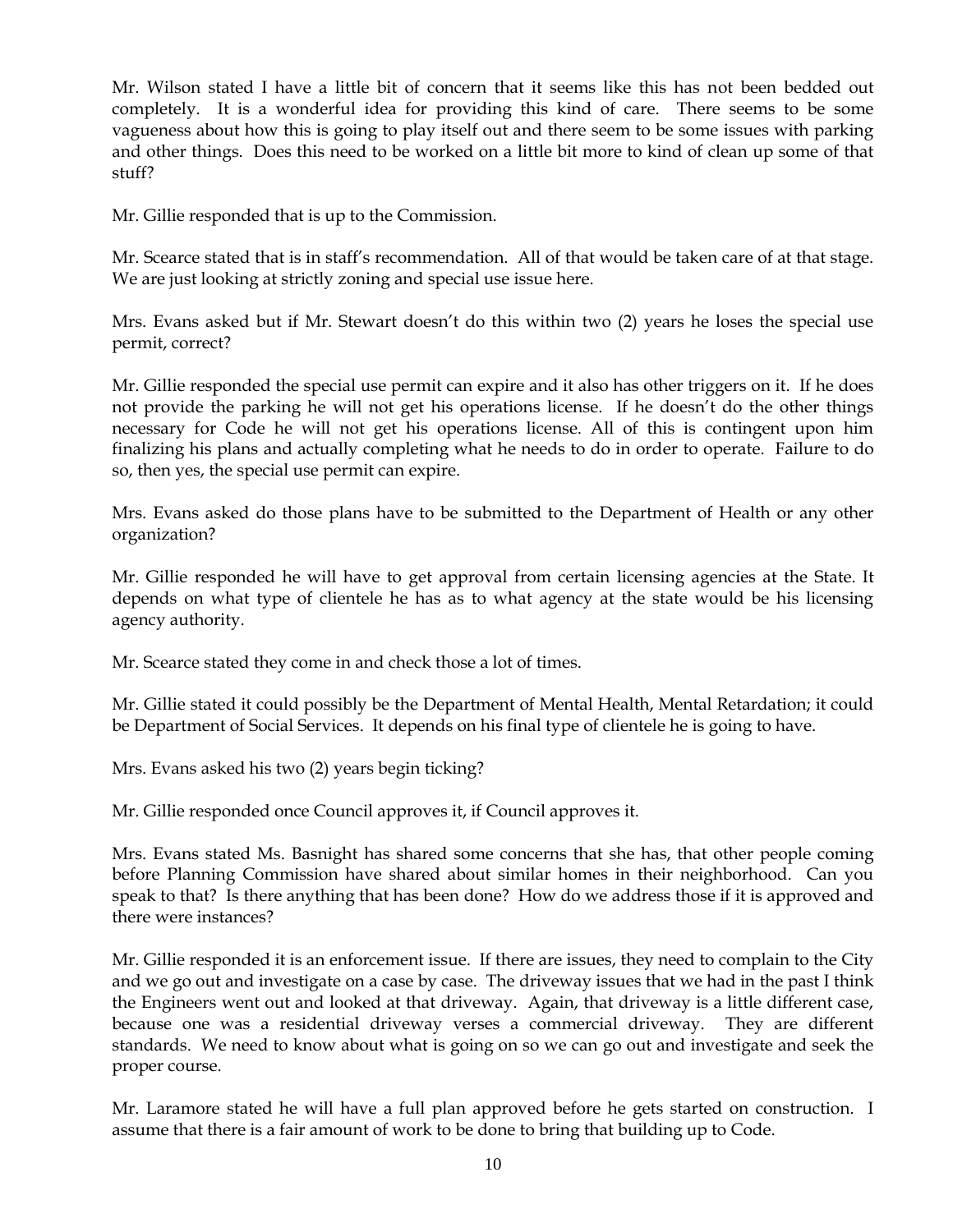Mr. Wilson stated I have a little bit of concern that it seems like this has not been bedded out completely. It is a wonderful idea for providing this kind of care. There seems to be some vagueness about how this is going to play itself out and there seem to be some issues with parking and other things. Does this need to be worked on a little bit more to kind of clean up some of that stuff?

Mr. Gillie responded that is up to the Commission.

Mr. Scearce stated that is in staff's recommendation. All of that would be taken care of at that stage. We are just looking at strictly zoning and special use issue here.

Mrs. Evans asked but if Mr. Stewart doesn't do this within two (2) years he loses the special use permit, correct?

Mr. Gillie responded the special use permit can expire and it also has other triggers on it. If he does not provide the parking he will not get his operations license. If he doesn't do the other things necessary for Code he will not get his operations license. All of this is contingent upon him finalizing his plans and actually completing what he needs to do in order to operate. Failure to do so, then yes, the special use permit can expire.

Mrs. Evans asked do those plans have to be submitted to the Department of Health or any other organization?

Mr. Gillie responded he will have to get approval from certain licensing agencies at the State. It depends on what type of clientele he has as to what agency at the state would be his licensing agency authority.

Mr. Scearce stated they come in and check those a lot of times.

Mr. Gillie stated it could possibly be the Department of Mental Health, Mental Retardation; it could be Department of Social Services. It depends on his final type of clientele he is going to have.

Mrs. Evans asked his two (2) years begin ticking?

Mr. Gillie responded once Council approves it, if Council approves it.

Mrs. Evans stated Ms. Basnight has shared some concerns that she has, that other people coming before Planning Commission have shared about similar homes in their neighborhood. Can you speak to that? Is there anything that has been done? How do we address those if it is approved and there were instances?

Mr. Gillie responded it is an enforcement issue. If there are issues, they need to complain to the City and we go out and investigate on a case by case. The driveway issues that we had in the past I think the Engineers went out and looked at that driveway. Again, that driveway is a little different case, because one was a residential driveway verses a commercial driveway. They are different standards. We need to know about what is going on so we can go out and investigate and seek the proper course.

Mr. Laramore stated he will have a full plan approved before he gets started on construction. I assume that there is a fair amount of work to be done to bring that building up to Code.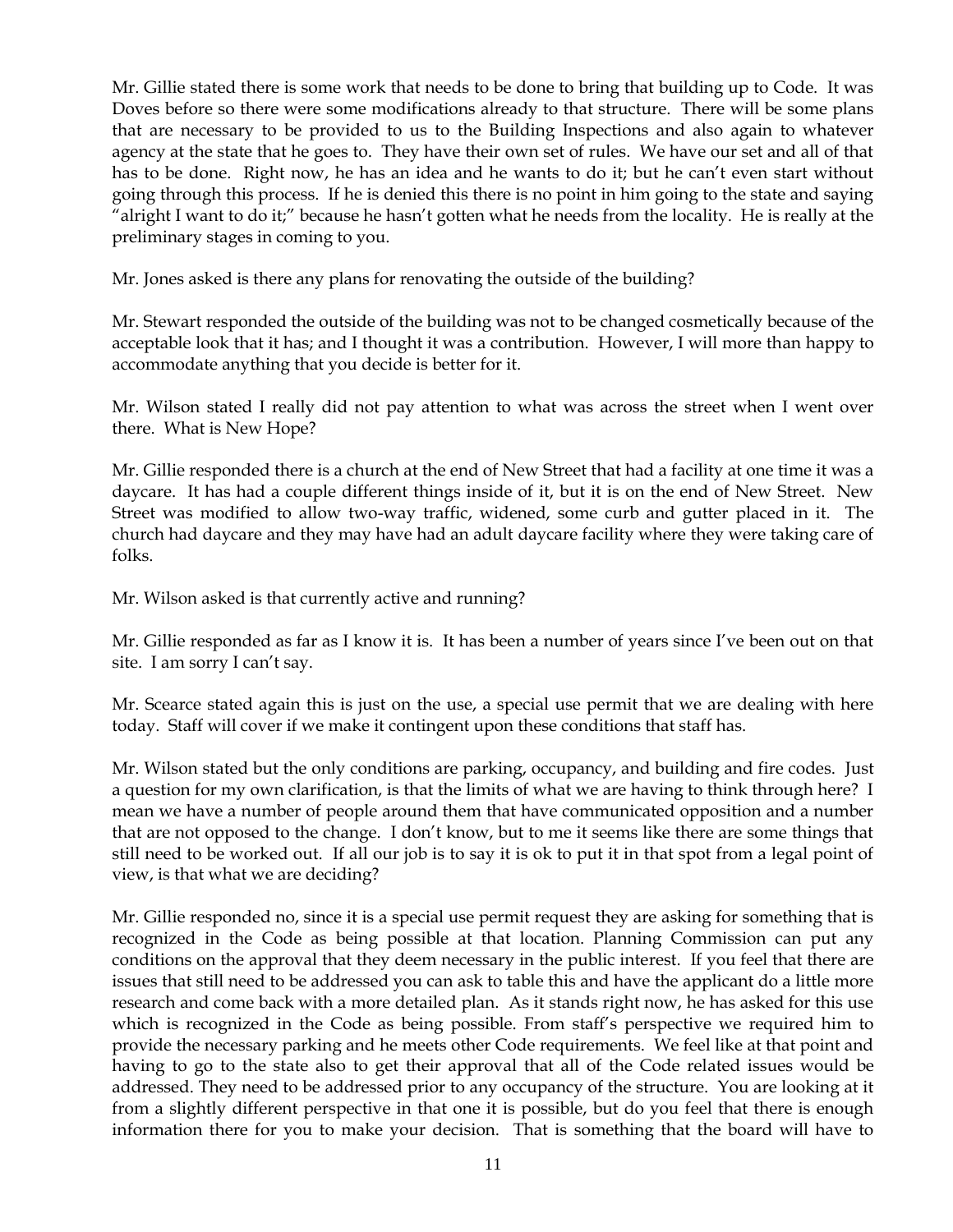Mr. Gillie stated there is some work that needs to be done to bring that building up to Code. It was Doves before so there were some modifications already to that structure. There will be some plans that are necessary to be provided to us to the Building Inspections and also again to whatever agency at the state that he goes to. They have their own set of rules. We have our set and all of that has to be done. Right now, he has an idea and he wants to do it; but he can't even start without going through this process. If he is denied this there is no point in him going to the state and saying "alright I want to do it;" because he hasn't gotten what he needs from the locality. He is really at the preliminary stages in coming to you.

Mr. Jones asked is there any plans for renovating the outside of the building?

Mr. Stewart responded the outside of the building was not to be changed cosmetically because of the acceptable look that it has; and I thought it was a contribution. However, I will more than happy to accommodate anything that you decide is better for it.

Mr. Wilson stated I really did not pay attention to what was across the street when I went over there. What is New Hope?

Mr. Gillie responded there is a church at the end of New Street that had a facility at one time it was a daycare. It has had a couple different things inside of it, but it is on the end of New Street. New Street was modified to allow two-way traffic, widened, some curb and gutter placed in it. The church had daycare and they may have had an adult daycare facility where they were taking care of folks.

Mr. Wilson asked is that currently active and running?

Mr. Gillie responded as far as I know it is. It has been a number of years since I've been out on that site. I am sorry I can't say.

Mr. Scearce stated again this is just on the use, a special use permit that we are dealing with here today. Staff will cover if we make it contingent upon these conditions that staff has.

Mr. Wilson stated but the only conditions are parking, occupancy, and building and fire codes. Just a question for my own clarification, is that the limits of what we are having to think through here? I mean we have a number of people around them that have communicated opposition and a number that are not opposed to the change. I don't know, but to me it seems like there are some things that still need to be worked out. If all our job is to say it is ok to put it in that spot from a legal point of view, is that what we are deciding?

Mr. Gillie responded no, since it is a special use permit request they are asking for something that is recognized in the Code as being possible at that location. Planning Commission can put any conditions on the approval that they deem necessary in the public interest. If you feel that there are issues that still need to be addressed you can ask to table this and have the applicant do a little more research and come back with a more detailed plan. As it stands right now, he has asked for this use which is recognized in the Code as being possible. From staff's perspective we required him to provide the necessary parking and he meets other Code requirements. We feel like at that point and having to go to the state also to get their approval that all of the Code related issues would be addressed. They need to be addressed prior to any occupancy of the structure. You are looking at it from a slightly different perspective in that one it is possible, but do you feel that there is enough information there for you to make your decision. That is something that the board will have to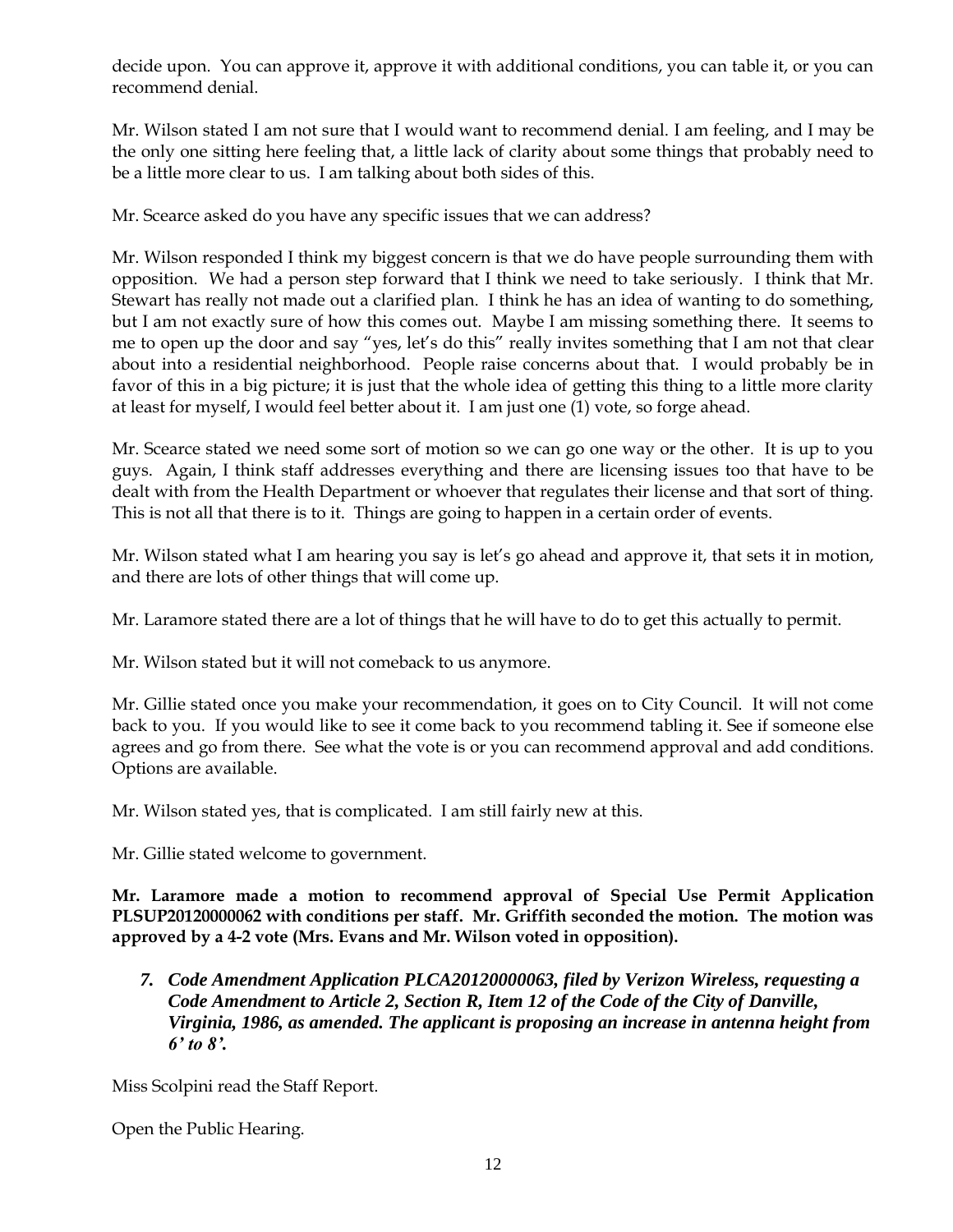decide upon. You can approve it, approve it with additional conditions, you can table it, or you can recommend denial.

Mr. Wilson stated I am not sure that I would want to recommend denial. I am feeling, and I may be the only one sitting here feeling that, a little lack of clarity about some things that probably need to be a little more clear to us. I am talking about both sides of this.

Mr. Scearce asked do you have any specific issues that we can address?

Mr. Wilson responded I think my biggest concern is that we do have people surrounding them with opposition. We had a person step forward that I think we need to take seriously. I think that Mr. Stewart has really not made out a clarified plan. I think he has an idea of wanting to do something, but I am not exactly sure of how this comes out. Maybe I am missing something there. It seems to me to open up the door and say "yes, let's do this" really invites something that I am not that clear about into a residential neighborhood. People raise concerns about that. I would probably be in favor of this in a big picture; it is just that the whole idea of getting this thing to a little more clarity at least for myself, I would feel better about it. I am just one (1) vote, so forge ahead.

Mr. Scearce stated we need some sort of motion so we can go one way or the other. It is up to you guys. Again, I think staff addresses everything and there are licensing issues too that have to be dealt with from the Health Department or whoever that regulates their license and that sort of thing. This is not all that there is to it. Things are going to happen in a certain order of events.

Mr. Wilson stated what I am hearing you say is let's go ahead and approve it, that sets it in motion, and there are lots of other things that will come up.

Mr. Laramore stated there are a lot of things that he will have to do to get this actually to permit.

Mr. Wilson stated but it will not comeback to us anymore.

Mr. Gillie stated once you make your recommendation, it goes on to City Council. It will not come back to you. If you would like to see it come back to you recommend tabling it. See if someone else agrees and go from there. See what the vote is or you can recommend approval and add conditions. Options are available.

Mr. Wilson stated yes, that is complicated. I am still fairly new at this.

Mr. Gillie stated welcome to government.

**Mr. Laramore made a motion to recommend approval of Special Use Permit Application PLSUP20120000062 with conditions per staff. Mr. Griffith seconded the motion. The motion was approved by a 4-2 vote (Mrs. Evans and Mr. Wilson voted in opposition).**

*7. Code Amendment Application PLCA20120000063, filed by Verizon Wireless, requesting a Code Amendment to Article 2, Section R, Item 12 of the Code of the City of Danville, Virginia, 1986, as amended. The applicant is proposing an increase in antenna height from 6' to 8'.* 

Miss Scolpini read the Staff Report.

Open the Public Hearing.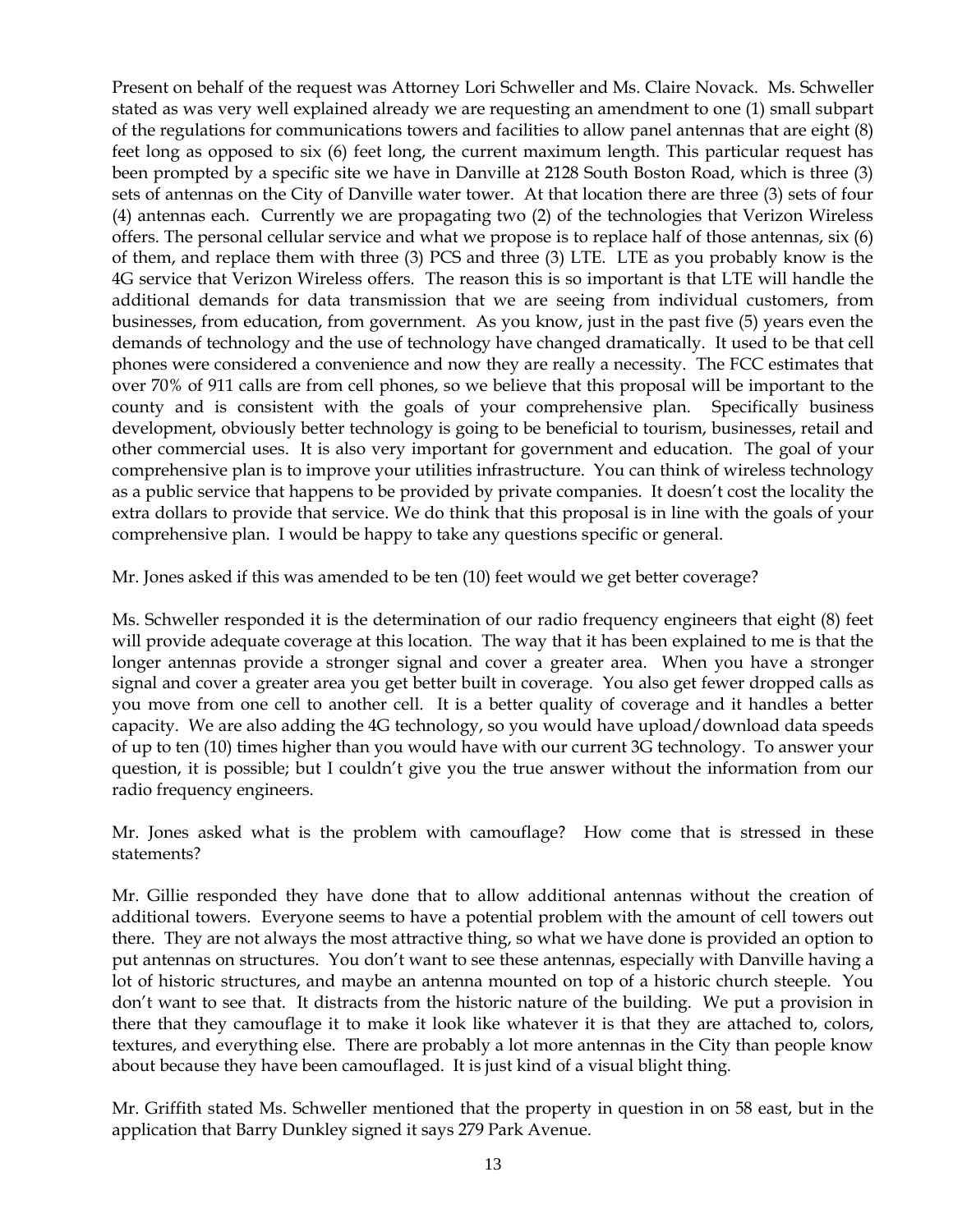Present on behalf of the request was Attorney Lori Schweller and Ms. Claire Novack. Ms. Schweller stated as was very well explained already we are requesting an amendment to one (1) small subpart of the regulations for communications towers and facilities to allow panel antennas that are eight (8) feet long as opposed to six (6) feet long, the current maximum length. This particular request has been prompted by a specific site we have in Danville at 2128 South Boston Road, which is three (3) sets of antennas on the City of Danville water tower. At that location there are three (3) sets of four (4) antennas each. Currently we are propagating two (2) of the technologies that Verizon Wireless offers. The personal cellular service and what we propose is to replace half of those antennas, six (6) of them, and replace them with three (3) PCS and three (3) LTE. LTE as you probably know is the 4G service that Verizon Wireless offers. The reason this is so important is that LTE will handle the additional demands for data transmission that we are seeing from individual customers, from businesses, from education, from government. As you know, just in the past five (5) years even the demands of technology and the use of technology have changed dramatically. It used to be that cell phones were considered a convenience and now they are really a necessity. The FCC estimates that over 70% of 911 calls are from cell phones, so we believe that this proposal will be important to the county and is consistent with the goals of your comprehensive plan. Specifically business development, obviously better technology is going to be beneficial to tourism, businesses, retail and other commercial uses. It is also very important for government and education. The goal of your comprehensive plan is to improve your utilities infrastructure. You can think of wireless technology as a public service that happens to be provided by private companies. It doesn't cost the locality the extra dollars to provide that service. We do think that this proposal is in line with the goals of your comprehensive plan. I would be happy to take any questions specific or general.

Mr. Jones asked if this was amended to be ten (10) feet would we get better coverage?

Ms. Schweller responded it is the determination of our radio frequency engineers that eight (8) feet will provide adequate coverage at this location. The way that it has been explained to me is that the longer antennas provide a stronger signal and cover a greater area. When you have a stronger signal and cover a greater area you get better built in coverage. You also get fewer dropped calls as you move from one cell to another cell. It is a better quality of coverage and it handles a better capacity. We are also adding the 4G technology, so you would have upload/download data speeds of up to ten (10) times higher than you would have with our current 3G technology. To answer your question, it is possible; but I couldn't give you the true answer without the information from our radio frequency engineers.

Mr. Jones asked what is the problem with camouflage? How come that is stressed in these statements?

Mr. Gillie responded they have done that to allow additional antennas without the creation of additional towers. Everyone seems to have a potential problem with the amount of cell towers out there. They are not always the most attractive thing, so what we have done is provided an option to put antennas on structures. You don't want to see these antennas, especially with Danville having a lot of historic structures, and maybe an antenna mounted on top of a historic church steeple. You don't want to see that. It distracts from the historic nature of the building. We put a provision in there that they camouflage it to make it look like whatever it is that they are attached to, colors, textures, and everything else. There are probably a lot more antennas in the City than people know about because they have been camouflaged. It is just kind of a visual blight thing.

Mr. Griffith stated Ms. Schweller mentioned that the property in question in on 58 east, but in the application that Barry Dunkley signed it says 279 Park Avenue.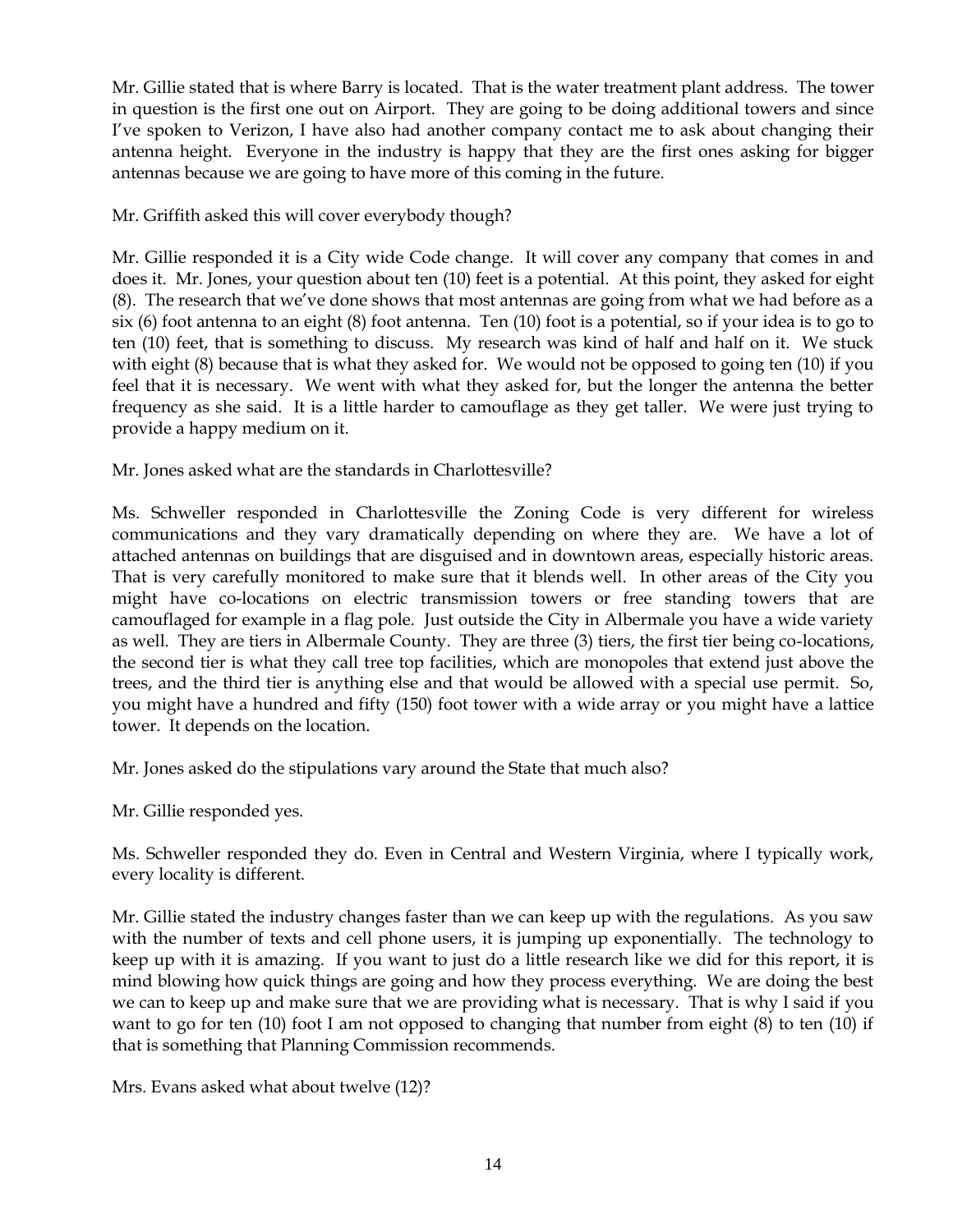Mr. Gillie stated that is where Barry is located. That is the water treatment plant address. The tower in question is the first one out on Airport. They are going to be doing additional towers and since I've spoken to Verizon, I have also had another company contact me to ask about changing their antenna height. Everyone in the industry is happy that they are the first ones asking for bigger antennas because we are going to have more of this coming in the future.

Mr. Griffith asked this will cover everybody though?

Mr. Gillie responded it is a City wide Code change. It will cover any company that comes in and does it. Mr. Jones, your question about ten (10) feet is a potential. At this point, they asked for eight (8). The research that we've done shows that most antennas are going from what we had before as a six (6) foot antenna to an eight (8) foot antenna. Ten (10) foot is a potential, so if your idea is to go to ten (10) feet, that is something to discuss. My research was kind of half and half on it. We stuck with eight (8) because that is what they asked for. We would not be opposed to going ten (10) if you feel that it is necessary. We went with what they asked for, but the longer the antenna the better frequency as she said. It is a little harder to camouflage as they get taller. We were just trying to provide a happy medium on it.

Mr. Jones asked what are the standards in Charlottesville?

Ms. Schweller responded in Charlottesville the Zoning Code is very different for wireless communications and they vary dramatically depending on where they are. We have a lot of attached antennas on buildings that are disguised and in downtown areas, especially historic areas. That is very carefully monitored to make sure that it blends well. In other areas of the City you might have co-locations on electric transmission towers or free standing towers that are camouflaged for example in a flag pole. Just outside the City in Albermale you have a wide variety as well. They are tiers in Albermale County. They are three (3) tiers, the first tier being co-locations, the second tier is what they call tree top facilities, which are monopoles that extend just above the trees, and the third tier is anything else and that would be allowed with a special use permit. So, you might have a hundred and fifty (150) foot tower with a wide array or you might have a lattice tower. It depends on the location.

Mr. Jones asked do the stipulations vary around the State that much also?

Mr. Gillie responded yes.

Ms. Schweller responded they do. Even in Central and Western Virginia, where I typically work, every locality is different.

Mr. Gillie stated the industry changes faster than we can keep up with the regulations. As you saw with the number of texts and cell phone users, it is jumping up exponentially. The technology to keep up with it is amazing. If you want to just do a little research like we did for this report, it is mind blowing how quick things are going and how they process everything. We are doing the best we can to keep up and make sure that we are providing what is necessary. That is why I said if you want to go for ten (10) foot I am not opposed to changing that number from eight (8) to ten (10) if that is something that Planning Commission recommends.

Mrs. Evans asked what about twelve (12)?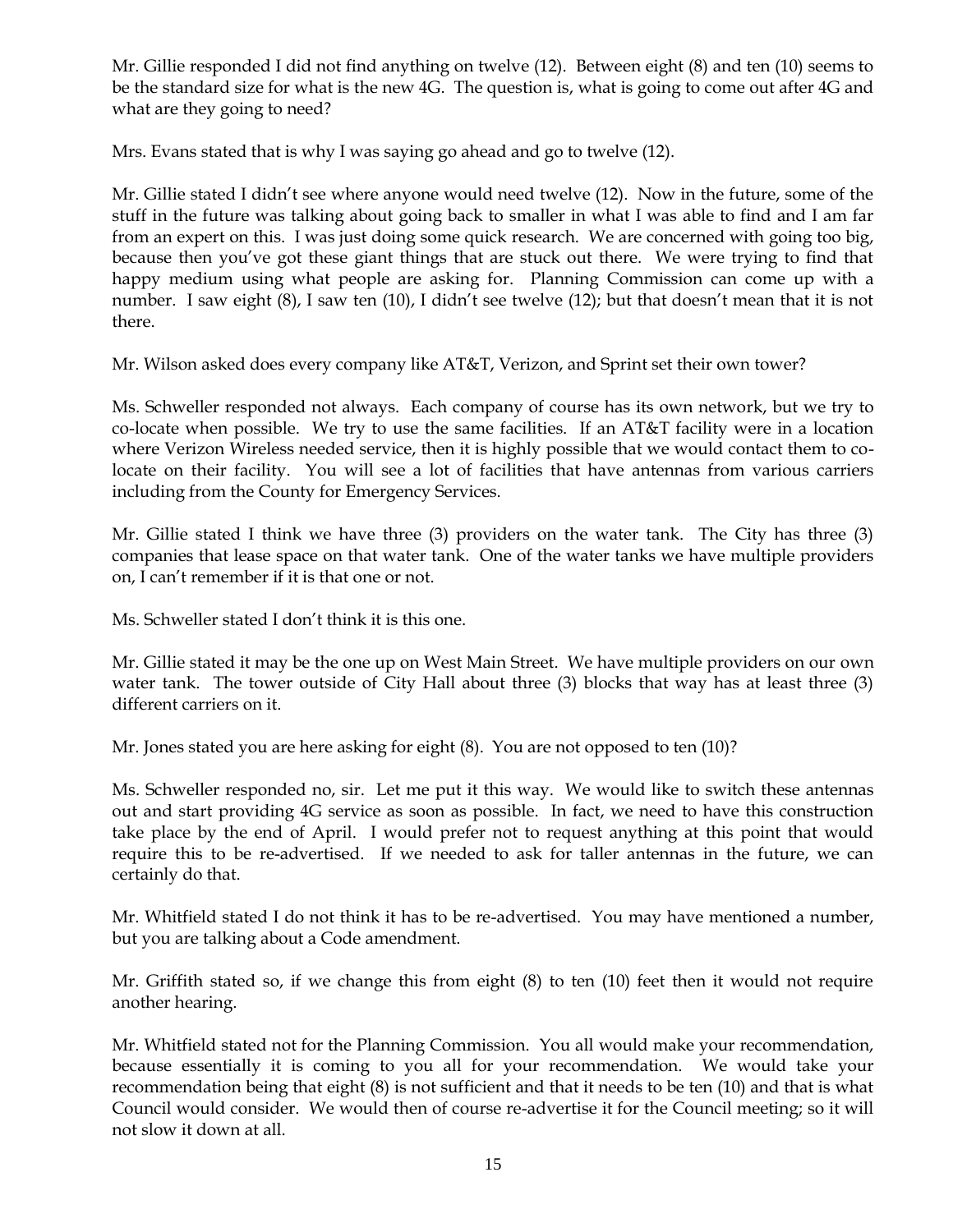Mr. Gillie responded I did not find anything on twelve (12). Between eight (8) and ten (10) seems to be the standard size for what is the new 4G. The question is, what is going to come out after 4G and what are they going to need?

Mrs. Evans stated that is why I was saying go ahead and go to twelve (12).

Mr. Gillie stated I didn't see where anyone would need twelve (12). Now in the future, some of the stuff in the future was talking about going back to smaller in what I was able to find and I am far from an expert on this. I was just doing some quick research. We are concerned with going too big, because then you've got these giant things that are stuck out there. We were trying to find that happy medium using what people are asking for. Planning Commission can come up with a number. I saw eight (8), I saw ten (10), I didn't see twelve (12); but that doesn't mean that it is not there.

Mr. Wilson asked does every company like AT&T, Verizon, and Sprint set their own tower?

Ms. Schweller responded not always. Each company of course has its own network, but we try to co-locate when possible. We try to use the same facilities. If an AT&T facility were in a location where Verizon Wireless needed service, then it is highly possible that we would contact them to colocate on their facility. You will see a lot of facilities that have antennas from various carriers including from the County for Emergency Services.

Mr. Gillie stated I think we have three (3) providers on the water tank. The City has three (3) companies that lease space on that water tank. One of the water tanks we have multiple providers on, I can't remember if it is that one or not.

Ms. Schweller stated I don't think it is this one.

Mr. Gillie stated it may be the one up on West Main Street. We have multiple providers on our own water tank. The tower outside of City Hall about three (3) blocks that way has at least three (3) different carriers on it.

Mr. Jones stated you are here asking for eight (8). You are not opposed to ten (10)?

Ms. Schweller responded no, sir. Let me put it this way. We would like to switch these antennas out and start providing 4G service as soon as possible. In fact, we need to have this construction take place by the end of April. I would prefer not to request anything at this point that would require this to be re-advertised. If we needed to ask for taller antennas in the future, we can certainly do that.

Mr. Whitfield stated I do not think it has to be re-advertised. You may have mentioned a number, but you are talking about a Code amendment.

Mr. Griffith stated so, if we change this from eight (8) to ten (10) feet then it would not require another hearing.

Mr. Whitfield stated not for the Planning Commission. You all would make your recommendation, because essentially it is coming to you all for your recommendation. We would take your recommendation being that eight (8) is not sufficient and that it needs to be ten (10) and that is what Council would consider. We would then of course re-advertise it for the Council meeting; so it will not slow it down at all.